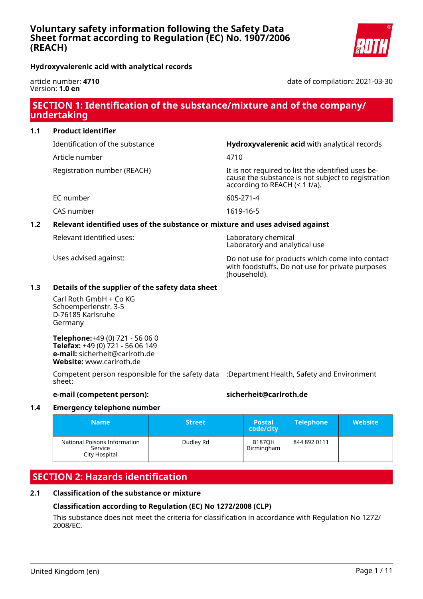**Hydroxyvalerenic acid with analytical records**

article number: **4710** Version: **1.0 en**

# date of compilation: 2021-03-30

# **SECTION 1: Identification of the substance/mixture and of the company/ undertaking**

| <b>Product identifier</b><br>1.1 |
|----------------------------------|
|----------------------------------|

Article number 4710

Identification of the substance **Hydroxyvalerenic acid** with analytical records

Registration number (REACH) It is not required to list the identified uses because the substance is not subject to registration according to REACH (< 1 t/a).

EC number 605-271-4

CAS number 1619-16-5

# **1.2 Relevant identified uses of the substance or mixture and uses advised against**

| Relevant identified uses: |  |
|---------------------------|--|
|                           |  |

Laboratory chemical Laboratory and analytical use

Uses advised against: Do not use for products which come into contact with foodstuffs. Do not use for private purposes (household).

# **1.3 Details of the supplier of the safety data sheet**

Carl Roth GmbH + Co KG Schoemperlenstr. 3-5 D-76185 Karlsruhe Germany

**Telephone:**+49 (0) 721 - 56 06 0 **Telefax:** +49 (0) 721 - 56 06 149 **e-mail:** sicherheit@carlroth.de **Website:** www.carlroth.de

Competent person responsible for the safety data :Department Health, Safety and Environment sheet:

# **e-mail (competent person): sicherheit@carlroth.de**

# **1.4 Emergency telephone number**

| <b>Name</b>                                              | <b>Street</b> | <b>Postal</b><br>code/city  | <b>Telephone</b> | <b>Website</b> |
|----------------------------------------------------------|---------------|-----------------------------|------------------|----------------|
| National Poisons Information<br>Service<br>City Hospital | Dudley Rd     | <b>B187OH</b><br>Birmingham | 844 892 0111     |                |

# **SECTION 2: Hazards identification**

# **2.1 Classification of the substance or mixture**

# **Classification according to Regulation (EC) No 1272/2008 (CLP)**

This substance does not meet the criteria for classification in accordance with Regulation No 1272/ 2008/EC.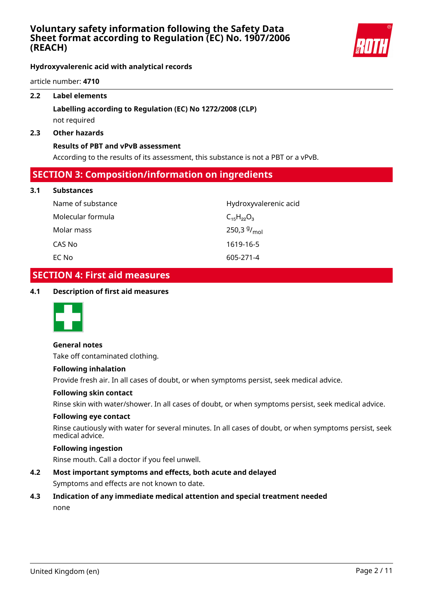

**Hydroxyvalerenic acid with analytical records**

article number: **4710**

# **2.2 Label elements**

# **Labelling according to Regulation (EC) No 1272/2008 (CLP)** not required

#### **2.3 Other hazards**

#### **Results of PBT and vPvB assessment**

According to the results of its assessment, this substance is not a PBT or a vPvB.

# **SECTION 3: Composition/information on ingredients**

#### **3.1 Substances**

| Name of substance | Hydroxyvalerenic acid     |
|-------------------|---------------------------|
| Molecular formula | $C_{15}H_{22}O_3$         |
| Molar mass        | 250,3 $9/$ <sub>mol</sub> |
| CAS No            | 1619-16-5                 |
| EC No             | 605-271-4                 |

# **SECTION 4: First aid measures**

# **4.1 Description of first aid measures**



#### **General notes**

Take off contaminated clothing.

#### **Following inhalation**

Provide fresh air. In all cases of doubt, or when symptoms persist, seek medical advice.

#### **Following skin contact**

Rinse skin with water/shower. In all cases of doubt, or when symptoms persist, seek medical advice.

#### **Following eye contact**

Rinse cautiously with water for several minutes. In all cases of doubt, or when symptoms persist, seek medical advice.

# **Following ingestion**

Rinse mouth. Call a doctor if you feel unwell.

# **4.2 Most important symptoms and effects, both acute and delayed**

Symptoms and effects are not known to date.

# **4.3 Indication of any immediate medical attention and special treatment needed**

none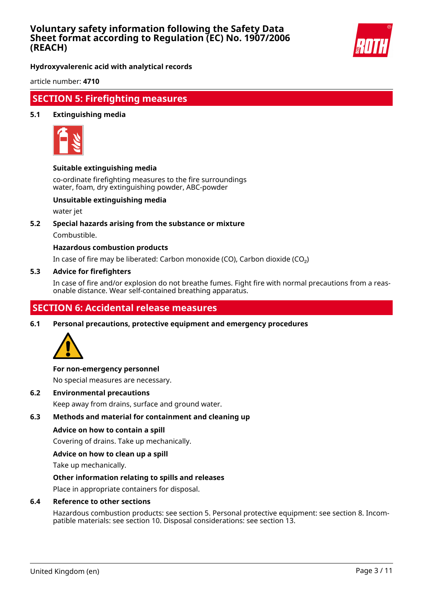

**Hydroxyvalerenic acid with analytical records**

article number: **4710**

# **SECTION 5: Firefighting measures**

# **5.1 Extinguishing media**



# **Suitable extinguishing media**

co-ordinate firefighting measures to the fire surroundings water, foam, dry extinguishing powder, ABC-powder

# **Unsuitable extinguishing media**

water jet

# **5.2 Special hazards arising from the substance or mixture**

Combustible.

# **Hazardous combustion products**

In case of fire may be liberated: Carbon monoxide (CO), Carbon dioxide (CO₂)

#### **5.3 Advice for firefighters**

In case of fire and/or explosion do not breathe fumes. Fight fire with normal precautions from a reasonable distance. Wear self-contained breathing apparatus.

# **SECTION 6: Accidental release measures**

**6.1 Personal precautions, protective equipment and emergency procedures**



# **For non-emergency personnel**

No special measures are necessary.

**6.2 Environmental precautions**

Keep away from drains, surface and ground water.

# **6.3 Methods and material for containment and cleaning up**

# **Advice on how to contain a spill**

Covering of drains. Take up mechanically.

# **Advice on how to clean up a spill**

Take up mechanically.

# **Other information relating to spills and releases**

Place in appropriate containers for disposal.

#### **6.4 Reference to other sections**

Hazardous combustion products: see section 5. Personal protective equipment: see section 8. Incompatible materials: see section 10. Disposal considerations: see section 13.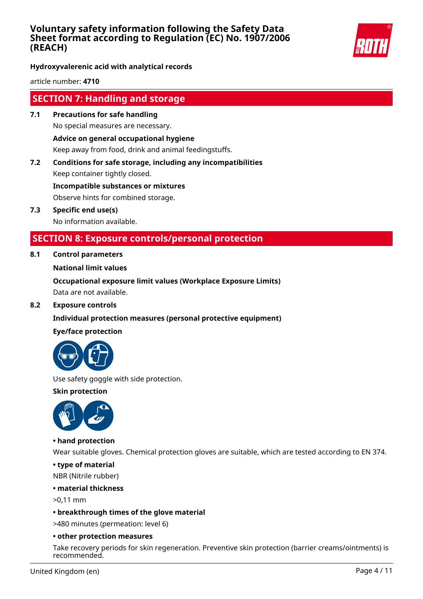

**Hydroxyvalerenic acid with analytical records**

article number: **4710**

# **SECTION 7: Handling and storage**

- **7.1 Precautions for safe handling** No special measures are necessary. **Advice on general occupational hygiene** Keep away from food, drink and animal feedingstuffs.
- **7.2 Conditions for safe storage, including any incompatibilities** Keep container tightly closed. **Incompatible substances or mixtures**

Observe hints for combined storage.

**7.3 Specific end use(s)** No information available.

# **SECTION 8: Exposure controls/personal protection**

# **8.1 Control parameters**

# **National limit values**

**Occupational exposure limit values (Workplace Exposure Limits)** Data are not available.

**8.2 Exposure controls**

# **Individual protection measures (personal protective equipment)**

# **Eye/face protection**



Use safety goggle with side protection.

**Skin protection**



# **• hand protection**

Wear suitable gloves. Chemical protection gloves are suitable, which are tested according to EN 374.

**• type of material**

NBR (Nitrile rubber)

# **• material thickness**

>0,11 mm

# **• breakthrough times of the glove material**

>480 minutes (permeation: level 6)

# **• other protection measures**

Take recovery periods for skin regeneration. Preventive skin protection (barrier creams/ointments) is recommended.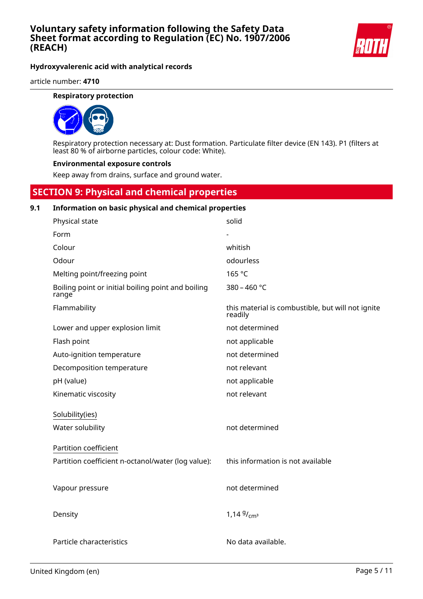

**Hydroxyvalerenic acid with analytical records**

article number: **4710**

# **Respiratory protection**



Respiratory protection necessary at: Dust formation. Particulate filter device (EN 143). P1 (filters at least 80 % of airborne particles, colour code: White).

#### **Environmental exposure controls**

Keep away from drains, surface and ground water.

# **SECTION 9: Physical and chemical properties**

#### **9.1 Information on basic physical and chemical properties**

| Physical state                                              | solid                                                        |
|-------------------------------------------------------------|--------------------------------------------------------------|
| Form                                                        |                                                              |
| Colour                                                      | whitish                                                      |
| Odour                                                       | odourless                                                    |
| Melting point/freezing point                                | 165 °C                                                       |
| Boiling point or initial boiling point and boiling<br>range | 380 - 460 °C                                                 |
| Flammability                                                | this material is combustible, but will not ignite<br>readily |
| Lower and upper explosion limit                             | not determined                                               |
| Flash point                                                 | not applicable                                               |
| Auto-ignition temperature                                   | not determined                                               |
| Decomposition temperature                                   | not relevant                                                 |
| pH (value)                                                  | not applicable                                               |
| Kinematic viscosity                                         | not relevant                                                 |
| Solubility(ies)                                             |                                                              |
| Water solubility                                            | not determined                                               |
| <b>Partition coefficient</b>                                |                                                              |
| Partition coefficient n-octanol/water (log value):          | this information is not available                            |
|                                                             |                                                              |
| Vapour pressure                                             | not determined                                               |
|                                                             |                                                              |
| Density                                                     | 1,14 $9/cm^3$                                                |
|                                                             |                                                              |
| Particle characteristics                                    | No data available.                                           |
|                                                             |                                                              |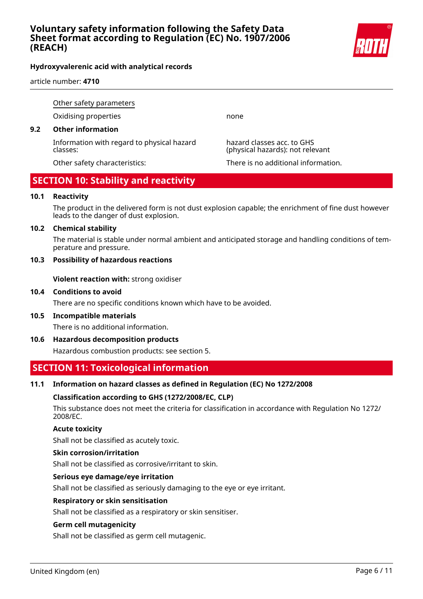

# **Hydroxyvalerenic acid with analytical records**

article number: **4710**

Other safety parameters

Oxidising properties none

# **9.2 Other information**

Information with regard to physical hazard classes:

hazard classes acc. to GHS (physical hazards): not relevant

Other safety characteristics: There is no additional information.

# **SECTION 10: Stability and reactivity**

# **10.1 Reactivity**

The product in the delivered form is not dust explosion capable; the enrichment of fine dust however leads to the danger of dust explosion.

# **10.2 Chemical stability**

The material is stable under normal ambient and anticipated storage and handling conditions of temperature and pressure.

# **10.3 Possibility of hazardous reactions**

**Violent reaction with:** strong oxidiser

# **10.4 Conditions to avoid**

There are no specific conditions known which have to be avoided.

**10.5 Incompatible materials**

There is no additional information.

**10.6 Hazardous decomposition products**

Hazardous combustion products: see section 5.

# **SECTION 11: Toxicological information**

# **11.1 Information on hazard classes as defined in Regulation (EC) No 1272/2008**

# **Classification according to GHS (1272/2008/EC, CLP)**

This substance does not meet the criteria for classification in accordance with Regulation No 1272/ 2008/EC.

# **Acute toxicity**

Shall not be classified as acutely toxic.

# **Skin corrosion/irritation**

Shall not be classified as corrosive/irritant to skin.

# **Serious eye damage/eye irritation**

Shall not be classified as seriously damaging to the eye or eye irritant.

# **Respiratory or skin sensitisation**

Shall not be classified as a respiratory or skin sensitiser.

# **Germ cell mutagenicity**

Shall not be classified as germ cell mutagenic.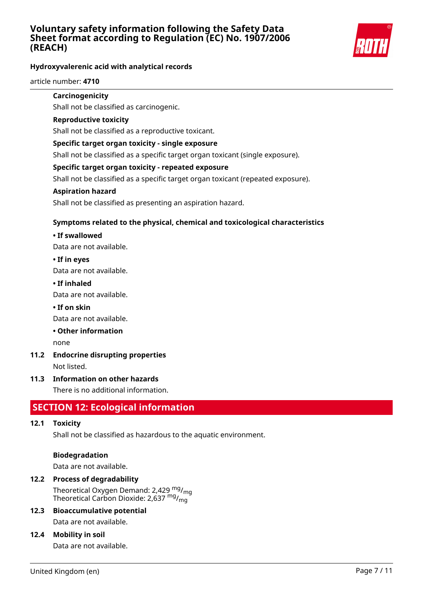

# **Hydroxyvalerenic acid with analytical records**

article number: **4710**

# **Carcinogenicity**

Shall not be classified as carcinogenic.

# **Reproductive toxicity**

Shall not be classified as a reproductive toxicant.

# **Specific target organ toxicity - single exposure**

Shall not be classified as a specific target organ toxicant (single exposure).

# **Specific target organ toxicity - repeated exposure**

Shall not be classified as a specific target organ toxicant (repeated exposure).

# **Aspiration hazard**

Shall not be classified as presenting an aspiration hazard.

# **Symptoms related to the physical, chemical and toxicological characteristics**

# **• If swallowed**

Data are not available.

# **• If in eyes**

Data are not available.

# **• If inhaled**

Data are not available.

# **• If on skin**

Data are not available.

# **• Other information**

none

# **11.2 Endocrine disrupting properties**

Not listed.

# **11.3 Information on other hazards**

There is no additional information.

# **SECTION 12: Ecological information**

# **12.1 Toxicity**

Shall not be classified as hazardous to the aquatic environment.

# **Biodegradation**

Data are not available.

# **12.2 Process of degradability**

Theoretical Oxygen Demand: 2,429  $mg/m<sub>0</sub>$ Theoretical Carbon Dioxide: 2,637 mg/<sub>mg</sub>

# **12.3 Bioaccumulative potential**

Data are not available.

# **12.4 Mobility in soil**

Data are not available.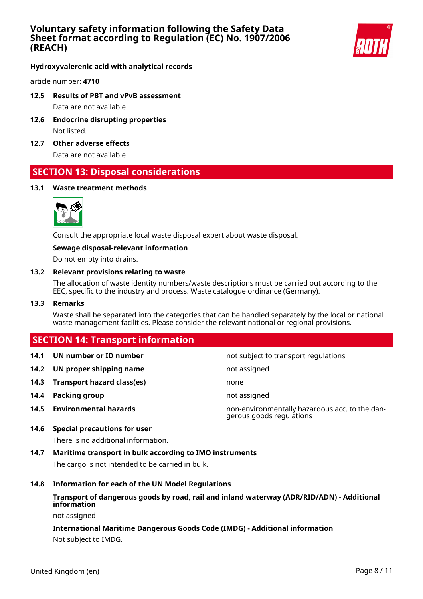

**Hydroxyvalerenic acid with analytical records**

article number: **4710**

- **12.5 Results of PBT and vPvB assessment** Data are not available.
- **12.6 Endocrine disrupting properties** Not listed.
- **12.7 Other adverse effects**

Data are not available.

# **SECTION 13: Disposal considerations**

# **13.1 Waste treatment methods**



Consult the appropriate local waste disposal expert about waste disposal.

# **Sewage disposal-relevant information**

Do not empty into drains.

#### **13.2 Relevant provisions relating to waste**

The allocation of waste identity numbers/waste descriptions must be carried out according to the EEC, specific to the industry and process. Waste catalogue ordinance (Germany).

#### **13.3 Remarks**

Waste shall be separated into the categories that can be handled separately by the local or national waste management facilities. Please consider the relevant national or regional provisions.

# **SECTION 14: Transport information**

- 
- **14.2 UN proper shipping name** not assigned
- **14.3 Transport hazard class(es)** none
- **14.4 Packing group not assigned**
- 

**14.1 UN number or ID number not subject to transport regulations** 

**14.5 Environmental hazards** non-environmentally hazardous acc. to the dangerous goods regulations

# **14.6 Special precautions for user**

There is no additional information.

**14.7 Maritime transport in bulk according to IMO instruments**

The cargo is not intended to be carried in bulk.

# **14.8 Information for each of the UN Model Regulations**

# **Transport of dangerous goods by road, rail and inland waterway (ADR/RID/ADN) - Additional information**

not assigned

# **International Maritime Dangerous Goods Code (IMDG) - Additional information** Not subject to IMDG.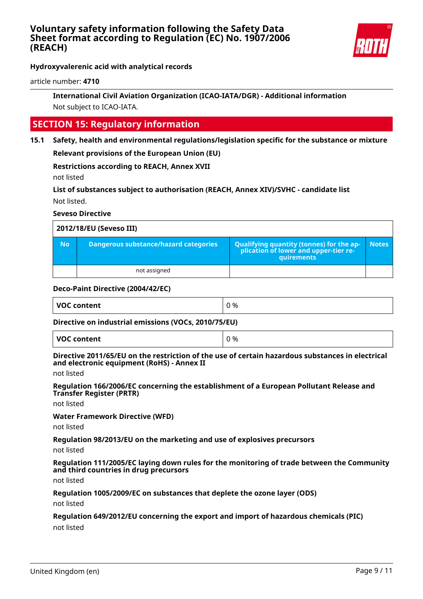

**Hydroxyvalerenic acid with analytical records**

article number: **4710**

# **International Civil Aviation Organization (ICAO-IATA/DGR) - Additional information** Not subject to ICAO-IATA.

# **SECTION 15: Regulatory information**

**15.1 Safety, health and environmental regulations/legislation specific for the substance or mixture**

**Relevant provisions of the European Union (EU)**

**Restrictions according to REACH, Annex XVII**

not listed

**List of substances subject to authorisation (REACH, Annex XIV)/SVHC - candidate list** Not listed.

# **Seveso Directive**

| 2012/18/EU (Seveso III) |                                       |                                                                                                        |       |
|-------------------------|---------------------------------------|--------------------------------------------------------------------------------------------------------|-------|
| <b>No</b>               | Dangerous substance/hazard categories | <b>Qualifying quantity (tonnes) for the ap-</b><br>plication of lower and upper-tier re-<br>quirements | Notes |
|                         | not assigned                          |                                                                                                        |       |

# **Deco-Paint Directive (2004/42/EC)**

| <b>VOC content</b> | 0 % |
|--------------------|-----|
|                    |     |

# **Directive on industrial emissions (VOCs, 2010/75/EU)**

#### **Directive 2011/65/EU on the restriction of the use of certain hazardous substances in electrical and electronic equipment (RoHS) - Annex II**

not listed

**Regulation 166/2006/EC concerning the establishment of a European Pollutant Release and Transfer Register (PRTR)**

not listed

**Water Framework Directive (WFD)**

not listed

**Regulation 98/2013/EU on the marketing and use of explosives precursors**

not listed

**Regulation 111/2005/EC laying down rules for the monitoring of trade between the Community and third countries in drug precursors**

not listed

**Regulation 1005/2009/EC on substances that deplete the ozone layer (ODS)**

not listed

# **Regulation 649/2012/EU concerning the export and import of hazardous chemicals (PIC)**

not listed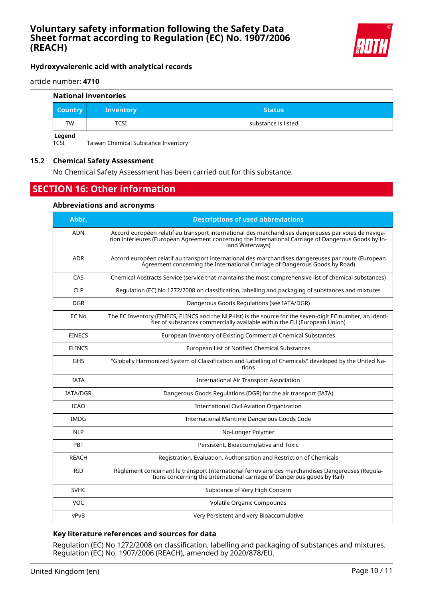

# **Hydroxyvalerenic acid with analytical records**

article number: **4710**

#### **National inventories**

| <b>Country</b> | <b>Inventory</b> | <b>Status</b>       |
|----------------|------------------|---------------------|
| TW             | TCSI             | substance is listed |
| Legend         |                  |                     |

TCSI Taiwan Chemical Substance Inventory

# **15.2 Chemical Safety Assessment**

No Chemical Safety Assessment has been carried out for this substance.

# **SECTION 16: Other information**

#### **Abbreviations and acronyms**

| Abbr.         | <b>Descriptions of used abbreviations</b>                                                                                                                                                                                       |
|---------------|---------------------------------------------------------------------------------------------------------------------------------------------------------------------------------------------------------------------------------|
| <b>ADN</b>    | Accord européen relatif au transport international des marchandises dangereuses par voies de naviga-<br>tion intérieures (European Agreement concerning the International Carriage of Dangerous Goods by In-<br>land Waterways) |
| <b>ADR</b>    | Accord européen relatif au transport international des marchandises dangereuses par route (European<br>Agreement concerning the International Carriage of Dangerous Goods by Road)                                              |
| CAS           | Chemical Abstracts Service (service that maintains the most comprehensive list of chemical substances)                                                                                                                          |
| <b>CLP</b>    | Regulation (EC) No 1272/2008 on classification, labelling and packaging of substances and mixtures                                                                                                                              |
| <b>DGR</b>    | Dangerous Goods Regulations (see IATA/DGR)                                                                                                                                                                                      |
| EC No         | The EC Inventory (EINECS, ELINCS and the NLP-list) is the source for the seven-digit EC number, an identi-<br>fier of substances commercially available within the EU (European Union)                                          |
| <b>EINECS</b> | European Inventory of Existing Commercial Chemical Substances                                                                                                                                                                   |
| <b>ELINCS</b> | European List of Notified Chemical Substances                                                                                                                                                                                   |
| <b>GHS</b>    | "Globally Harmonized System of Classification and Labelling of Chemicals" developed by the United Na-<br>tions                                                                                                                  |
| <b>IATA</b>   | <b>International Air Transport Association</b>                                                                                                                                                                                  |
| IATA/DGR      | Dangerous Goods Regulations (DGR) for the air transport (IATA)                                                                                                                                                                  |
| <b>ICAO</b>   | <b>International Civil Aviation Organization</b>                                                                                                                                                                                |
| <b>IMDG</b>   | International Maritime Dangerous Goods Code                                                                                                                                                                                     |
| <b>NLP</b>    | No-Longer Polymer                                                                                                                                                                                                               |
| PBT           | Persistent, Bioaccumulative and Toxic                                                                                                                                                                                           |
| <b>REACH</b>  | Registration, Evaluation, Authorisation and Restriction of Chemicals                                                                                                                                                            |
| <b>RID</b>    | Règlement concernant le transport International ferroviaire des marchandises Dangereuses (Regula-<br>tions concerning the International carriage of Dangerous goods by Rail)                                                    |
| <b>SVHC</b>   | Substance of Very High Concern                                                                                                                                                                                                  |
| VOC           | Volatile Organic Compounds                                                                                                                                                                                                      |
| vPvB          | Very Persistent and very Bioaccumulative                                                                                                                                                                                        |

# **Key literature references and sources for data**

Regulation (EC) No 1272/2008 on classification, labelling and packaging of substances and mixtures. Regulation (EC) No. 1907/2006 (REACH), amended by 2020/878/EU.